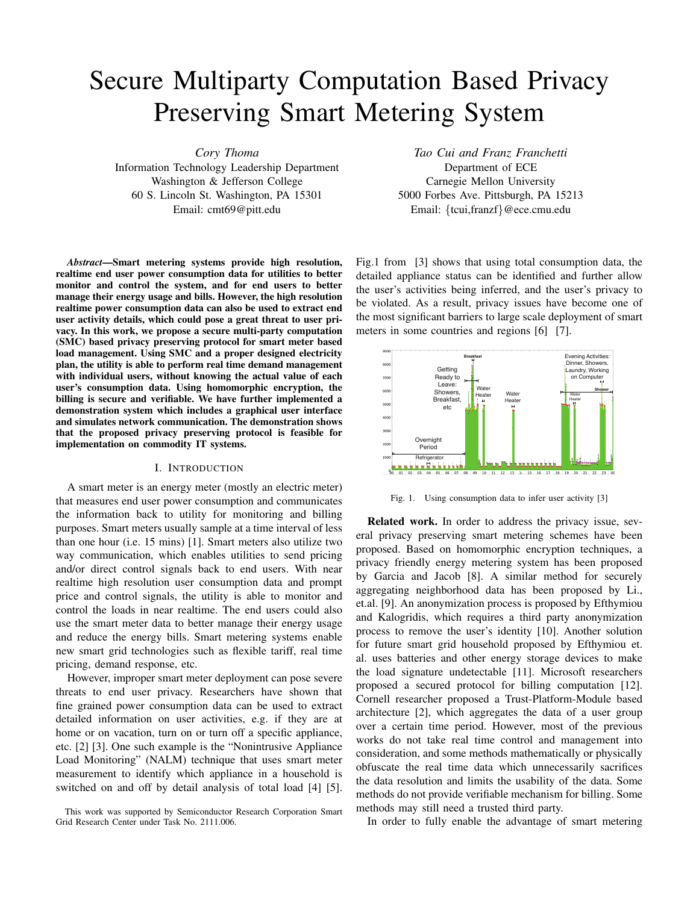# Secure Multiparty Computation Based Privacy Preserving Smart Metering System

*Cory Thoma*

Information Technology Leadership Department Washington & Jefferson College 60 S. Lincoln St. Washington, PA 15301 Email: cmt69@pitt.edu

*Abstract*—Smart metering systems provide high resolution, realtime end user power consumption data for utilities to better monitor and control the system, and for end users to better manage their energy usage and bills. However, the high resolution realtime power consumption data can also be used to extract end user activity details, which could pose a great threat to user privacy. In this work, we propose a secure multi-party computation (SMC) based privacy preserving protocol for smart meter based load management. Using SMC and a proper designed electricity plan, the utility is able to perform real time demand management with individual users, without knowing the actual value of each user's consumption data. Using homomorphic encryption, the billing is secure and verifiable. We have further implemented a demonstration system which includes a graphical user interface and simulates network communication. The demonstration shows that the proposed privacy preserving protocol is feasible for implementation on commodity IT systems.

#### I. INTRODUCTION

A smart meter is an energy meter (mostly an electric meter) that measures end user power consumption and communicates the information back to utility for monitoring and billing purposes. Smart meters usually sample at a time interval of less than one hour (i.e. 15 mins) [1]. Smart meters also utilize two way communication, which enables utilities to send pricing and/or direct control signals back to end users. With near realtime high resolution user consumption data and prompt price and control signals, the utility is able to monitor and control the loads in near realtime. The end users could also use the smart meter data to better manage their energy usage and reduce the energy bills. Smart metering systems enable new smart grid technologies such as flexible tariff, real time pricing, demand response, etc.

However, improper smart meter deployment can pose severe threats to end user privacy. Researchers have shown that fine grained power consumption data can be used to extract detailed information on user activities, e.g. if they are at home or on vacation, turn on or turn off a specific appliance, etc. [2] [3]. One such example is the "Nonintrusive Appliance Load Monitoring" (NALM) technique that uses smart meter measurement to identify which appliance in a household is switched on and off by detail analysis of total load [4] [5].

This work was supported by Semiconductor Research Corporation Smart Grid Research Center under Task No. 2111.006.

*Tao Cui and Franz Franchetti* Department of ECE Carnegie Mellon University

5000 Forbes Ave. Pittsburgh, PA 15213 Email: *{*tcui,franzf*}*@ece.cmu.edu

Fig.1 from [3] shows that using total consumption data, the detailed appliance status can be identified and further allow the user's activities being inferred, and the user's privacy to be violated. As a result, privacy issues have become one of the most significant barriers to large scale deployment of smart meters in some countries and regions [6] [7].



Fig. 1. Using consumption data to infer user activity [3]

Related work. In order to address the privacy issue, several privacy preserving smart metering schemes have been proposed. Based on homomorphic encryption techniques, a privacy friendly energy metering system has been proposed by Garcia and Jacob [8]. A similar method for securely aggregating neighborhood data has been proposed by Li., et.al. [9]. An anonymization process is proposed by Efthymiou and Kalogridis, which requires a third party anonymization process to remove the user's identity [10]. Another solution for future smart grid household proposed by Efthymiou et. al. uses batteries and other energy storage devices to make the load signature undetectable [11]. Microsoft researchers proposed a secured protocol for billing computation [12]. Cornell researcher proposed a Trust-Platform-Module based architecture [2], which aggregates the data of a user group over a certain time period. However, most of the previous works do not take real time control and management into consideration, and some methods mathematically or physically obfuscate the real time data which unnecessarily sacrifices the data resolution and limits the usability of the data. Some methods do not provide verifiable mechanism for billing. Some methods may still need a trusted third party.

In order to fully enable the advantage of smart metering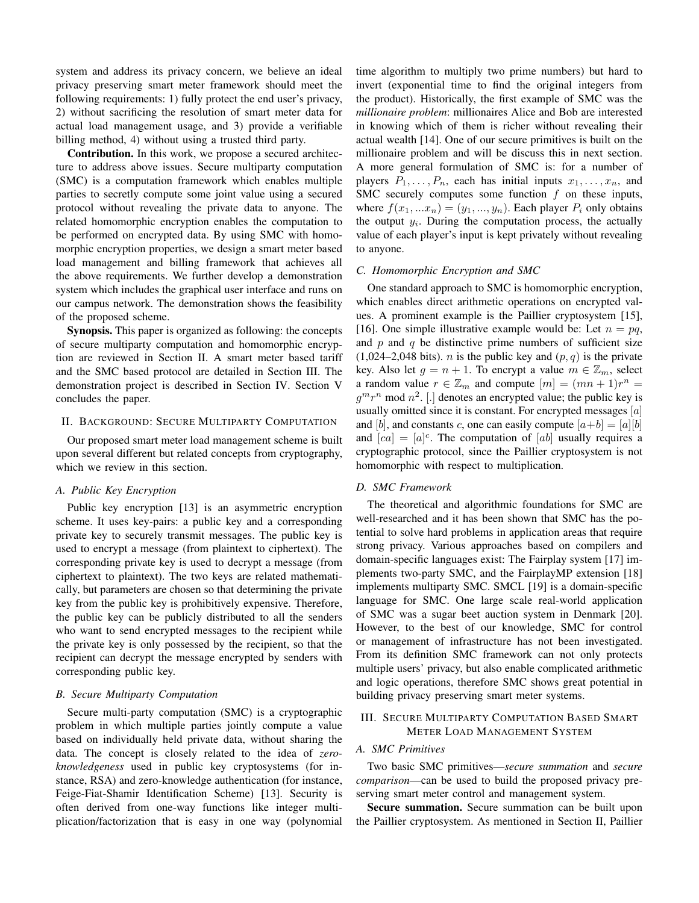system and address its privacy concern, we believe an ideal privacy preserving smart meter framework should meet the following requirements: 1) fully protect the end user's privacy, 2) without sacrificing the resolution of smart meter data for actual load management usage, and 3) provide a verifiable billing method, 4) without using a trusted third party.

Contribution. In this work, we propose a secured architecture to address above issues. Secure multiparty computation (SMC) is a computation framework which enables multiple parties to secretly compute some joint value using a secured protocol without revealing the private data to anyone. The related homomorphic encryption enables the computation to be performed on encrypted data. By using SMC with homomorphic encryption properties, we design a smart meter based load management and billing framework that achieves all the above requirements. We further develop a demonstration system which includes the graphical user interface and runs on our campus network. The demonstration shows the feasibility of the proposed scheme.

Synopsis. This paper is organized as following: the concepts of secure multiparty computation and homomorphic encryption are reviewed in Section II. A smart meter based tariff and the SMC based protocol are detailed in Section III. The demonstration project is described in Section IV. Section V concludes the paper.

#### II. BACKGROUND: SECURE MULTIPARTY COMPUTATION

Our proposed smart meter load management scheme is built upon several different but related concepts from cryptography, which we review in this section.

## *A. Public Key Encryption*

Public key encryption [13] is an asymmetric encryption scheme. It uses key-pairs: a public key and a corresponding private key to securely transmit messages. The public key is used to encrypt a message (from plaintext to ciphertext). The corresponding private key is used to decrypt a message (from ciphertext to plaintext). The two keys are related mathematically, but parameters are chosen so that determining the private key from the public key is prohibitively expensive. Therefore, the public key can be publicly distributed to all the senders who want to send encrypted messages to the recipient while the private key is only possessed by the recipient, so that the recipient can decrypt the message encrypted by senders with corresponding public key.

#### *B. Secure Multiparty Computation*

Secure multi-party computation (SMC) is a cryptographic problem in which multiple parties jointly compute a value based on individually held private data, without sharing the data. The concept is closely related to the idea of *zeroknowledgeness* used in public key cryptosystems (for instance, RSA) and zero-knowledge authentication (for instance, Feige-Fiat-Shamir Identification Scheme) [13]. Security is often derived from one-way functions like integer multiplication/factorization that is easy in one way (polynomial time algorithm to multiply two prime numbers) but hard to invert (exponential time to find the original integers from the product). Historically, the first example of SMC was the *millionaire problem*: millionaires Alice and Bob are interested in knowing which of them is richer without revealing their actual wealth [14]. One of our secure primitives is built on the millionaire problem and will be discuss this in next section. A more general formulation of SMC is: for a number of players  $P_1, \ldots, P_n$ , each has initial inputs  $x_1, \ldots, x_n$ , and SMC securely computes some function *f* on these inputs, where  $f(x_1, ... x_n) = (y_1, ..., y_n)$ . Each player  $P_i$  only obtains the output  $y_i$ . During the computation process, the actually value of each player's input is kept privately without revealing to anyone.

#### *C. Homomorphic Encryption and SMC*

One standard approach to SMC is homomorphic encryption, which enables direct arithmetic operations on encrypted values. A prominent example is the Paillier cryptosystem [15], [16]. One simple illustrative example would be: Let  $n = pq$ , and *p* and *q* be distinctive prime numbers of sufficient size  $(1,024-2,048 \text{ bits})$ . *n* is the public key and  $(p, q)$  is the private key. Also let  $q = n + 1$ . To encrypt a value  $m \in \mathbb{Z}_m$ , select a random value  $r \in \mathbb{Z}_m$  and compute  $[m] = (mn + 1)r^n =$  $g^m r^n$  mod  $n^2$ . [*.*] denotes an encrypted value; the public key is usually omitted since it is constant. For encrypted messages [*a*] and [b], and constants *c*, one can easily compute  $[a+b] = [a][b]$ and  $[ca] = [a]$ <sup>c</sup>. The computation of  $[ab]$  usually requires a cryptographic protocol, since the Paillier cryptosystem is not homomorphic with respect to multiplication.

## *D. SMC Framework*

The theoretical and algorithmic foundations for SMC are well-researched and it has been shown that SMC has the potential to solve hard problems in application areas that require strong privacy. Various approaches based on compilers and domain-specific languages exist: The Fairplay system [17] implements two-party SMC, and the FairplayMP extension [18] implements multiparty SMC. SMCL [19] is a domain-specific language for SMC. One large scale real-world application of SMC was a sugar beet auction system in Denmark [20]. However, to the best of our knowledge, SMC for control or management of infrastructure has not been investigated. From its definition SMC framework can not only protects multiple users' privacy, but also enable complicated arithmetic and logic operations, therefore SMC shows great potential in building privacy preserving smart meter systems.

# III. SECURE MULTIPARTY COMPUTATION BASED SMART METER LOAD MANAGEMENT SYSTEM

#### *A. SMC Primitives*

Two basic SMC primitives—*secure summation* and *secure comparison*—can be used to build the proposed privacy preserving smart meter control and management system.

Secure summation. Secure summation can be built upon the Paillier cryptosystem. As mentioned in Section II, Paillier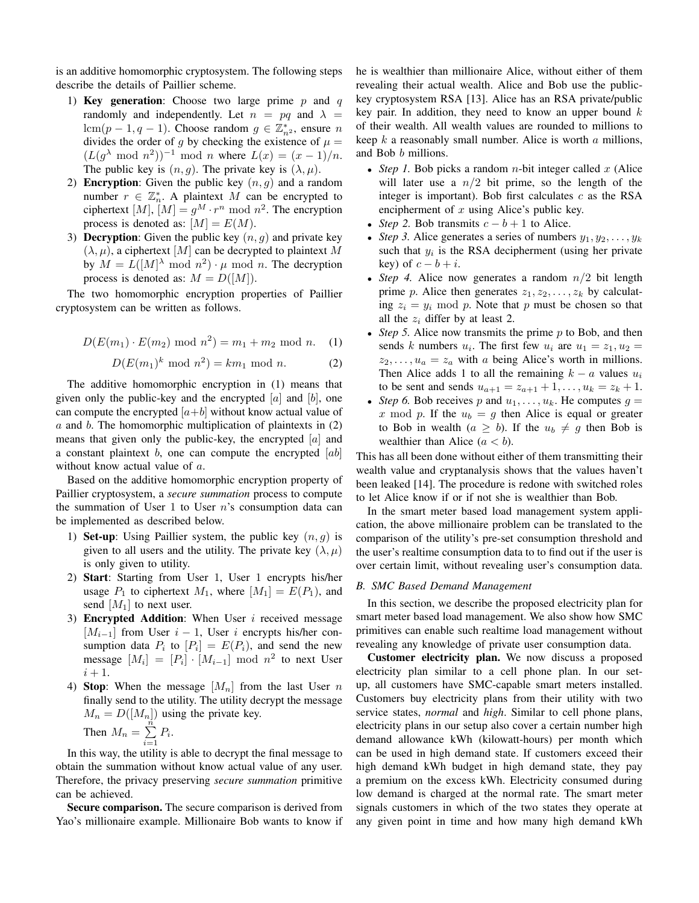is an additive homomorphic cryptosystem. The following steps describe the details of Paillier scheme.

- 1) Key generation: Choose two large prime *p* and *q* randomly and independently. Let  $n = pq$  and  $\lambda =$ lcm( $p$  − 1,  $q$  − 1). Choose random  $g \in \mathbb{Z}_{n^2}^*$ , ensure *n* divides the order of *g* by checking the existence of  $\mu =$  $(L(g^{\lambda} \mod n^2))^{-1} \mod n$  where  $L(x) = (x - 1)/n$ . The public key is  $(n, g)$ . The private key is  $(\lambda, \mu)$ .
- 2) **Encryption**: Given the public key  $(n, g)$  and a random number  $r \in \mathbb{Z}_n^*$ . A plaintext M can be encrypted to ciphertext  $[M]$ ,  $[M] = g^M \cdot r^n \mod n^2$ . The encryption process is denoted as:  $[M] = E(M)$ .
- 3) **Decryption**: Given the public key  $(n, q)$  and private key  $(\lambda, \mu)$ , a ciphertext  $[M]$  can be decrypted to plaintext M by  $M = L([M])^{\lambda} \mod n^2 \cdot \mu \mod n$ . The decryption process is denoted as:  $M = D([M])$ .

The two homomorphic encryption properties of Paillier cryptosystem can be written as follows.

$$
D(E(m_1) \cdot E(m_2) \text{ mod } n^2) = m_1 + m_2 \text{ mod } n. \quad (1)
$$

$$
D(E(m_1)^k \text{ mod } n^2) = km_1 \text{ mod } n. \tag{2}
$$

The additive homomorphic encryption in (1) means that given only the public-key and the encrypted [*a*] and [*b*], one can compute the encrypted  $[a + b]$  without know actual value of *a* and *b*. The homomorphic multiplication of plaintexts in (2) means that given only the public-key, the encrypted [*a*] and a constant plaintext *b*, one can compute the encrypted [*ab*] without know actual value of *a*.

Based on the additive homomorphic encryption property of Paillier cryptosystem, a *secure summation* process to compute the summation of User 1 to User *n*'s consumption data can be implemented as described below.

- 1) **Set-up**: Using Paillier system, the public key  $(n, g)$  is given to all users and the utility. The private key  $(\lambda, \mu)$ is only given to utility.
- 2) Start: Starting from User 1, User 1 encrypts his/her usage  $P_1$  to ciphertext  $M_1$ , where  $[M_1] = E(P_1)$ , and send [*M*1] to next user.
- 3) Encrypted Addition: When User *i* received message  $[M_{i-1}]$  from User  $i-1$ , User  $i$  encrypts his/her consumption data  $P_i$  to  $[P_i] = E(P_i)$ , and send the new message  $[M_i] = [P_i] \cdot [M_{i-1}] \mod n^2$  to next User  $i + 1$ .
- 4) Stop: When the message [*Mn*] from the last User *n* finally send to the utility. The utility decrypt the message  $M_n = D([M_n])$  using the private key.

Then 
$$
M_n = \sum_{i=1}^{n} P_i
$$
.

In this way, the utility is able to decrypt the final message to obtain the summation without know actual value of any user. Therefore, the privacy preserving *secure summation* primitive can be achieved.

Secure comparison. The secure comparison is derived from Yao's millionaire example. Millionaire Bob wants to know if he is wealthier than millionaire Alice, without either of them revealing their actual wealth. Alice and Bob use the publickey cryptosystem RSA [13]. Alice has an RSA private/public key pair. In addition, they need to know an upper bound *k* of their wealth. All wealth values are rounded to millions to keep *k* a reasonably small number. Alice is worth *a* millions, and Bob *b* millions.

- *• Step 1.* Bob picks a random *n*-bit integer called *x* (Alice will later use a  $n/2$  bit prime, so the length of the integer is important). Bob first calculates *c* as the RSA encipherment of *x* using Alice's public key.
- *• Step 2.* Bob transmits *c − b* + 1 to Alice.
- *Step 3.* Alice generates a series of numbers  $y_1, y_2, \ldots, y_k$ such that  $y_i$  is the RSA decipherment (using her private key) of  $c - b + i$ .
- *• Step 4.* Alice now generates a random *n/*2 bit length prime *p*. Alice then generates  $z_1, z_2, \ldots, z_k$  by calculating  $z_i = y_i \mod p$ . Note that p must be chosen so that all the  $z_i$  differ by at least 2.
- *• Step 5.* Alice now transmits the prime *p* to Bob, and then sends *k* numbers  $u_i$ . The first few  $u_i$  are  $u_1 = z_1, u_2 =$  $z_2, \ldots, u_a = z_a$  with *a* being Alice's worth in millions. Then Alice adds 1 to all the remaining  $k - a$  values  $u_i$ to be sent and sends  $u_{a+1} = z_{a+1} + 1, \ldots, u_k = z_k + 1.$
- *Step 6.* Bob receives *p* and  $u_1, \ldots, u_k$ . He computes  $g =$ x mod p. If the  $u_b = g$  then Alice is equal or greater to Bob in wealth  $(a \ge b)$ . If the  $u_b \ne g$  then Bob is wealthier than Alice (*a < b*).

This has all been done without either of them transmitting their wealth value and cryptanalysis shows that the values haven't been leaked [14]. The procedure is redone with switched roles to let Alice know if or if not she is wealthier than Bob.

In the smart meter based load management system application, the above millionaire problem can be translated to the comparison of the utility's pre-set consumption threshold and the user's realtime consumption data to to find out if the user is over certain limit, without revealing user's consumption data.

#### *B. SMC Based Demand Management*

In this section, we describe the proposed electricity plan for smart meter based load management. We also show how SMC primitives can enable such realtime load management without revealing any knowledge of private user consumption data.

Customer electricity plan. We now discuss a proposed electricity plan similar to a cell phone plan. In our setup, all customers have SMC-capable smart meters installed. Customers buy electricity plans from their utility with two service states, *normal* and *high*. Similar to cell phone plans, electricity plans in our setup also cover a certain number high demand allowance kWh (kilowatt-hours) per month which can be used in high demand state. If customers exceed their high demand kWh budget in high demand state, they pay a premium on the excess kWh. Electricity consumed during low demand is charged at the normal rate. The smart meter signals customers in which of the two states they operate at any given point in time and how many high demand kWh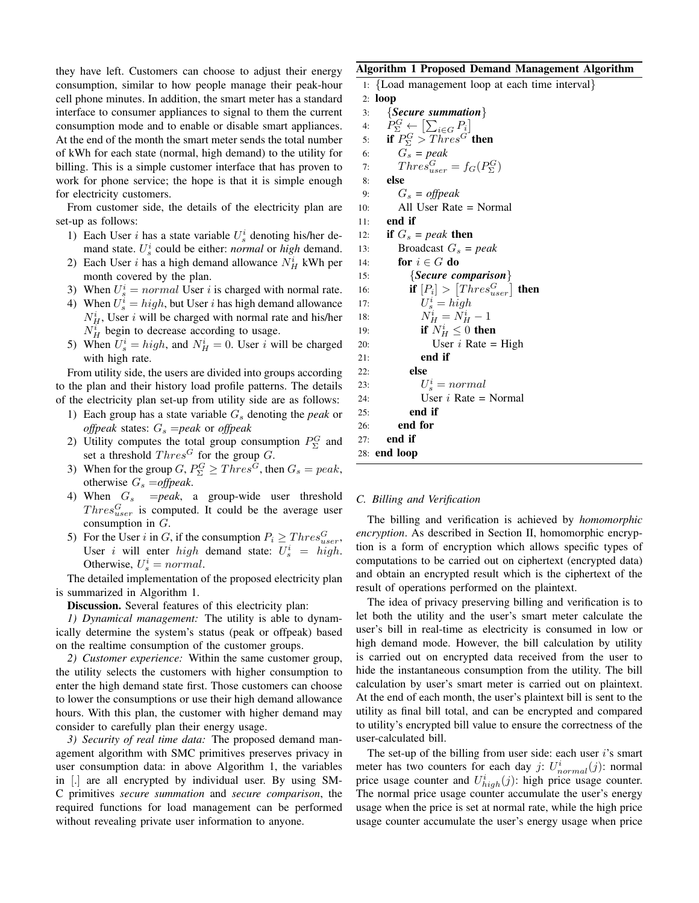they have left. Customers can choose to adjust their energy consumption, similar to how people manage their peak-hour cell phone minutes. In addition, the smart meter has a standard interface to consumer appliances to signal to them the current consumption mode and to enable or disable smart appliances. At the end of the month the smart meter sends the total number of kWh for each state (normal, high demand) to the utility for billing. This is a simple customer interface that has proven to work for phone service; the hope is that it is simple enough for electricity customers.

From customer side, the details of the electricity plan are set-up as follows:

- 1) Each User  $i$  has a state variable  $U_s^i$  denoting his/her demand state.  $U_s^i$  could be either: *normal* or *high* demand.
- 2) Each User *i* has a high demand allowance  $N_H^i$  kWh per month covered by the plan.
- 3) When  $U_s^i = normal$  User *i* is charged with normal rate.
- 4) When  $U_s^i = high$ , but User *i* has high demand allowance  $N_H^i$ , User *i* will be charged with normal rate and his/her  $N_H^i$  begin to decrease according to usage.
- 5) When  $U_s^i = high$ , and  $N_H^i = 0$ . User *i* will be charged with high rate.

From utility side, the users are divided into groups according to the plan and their history load profile patterns. The details of the electricity plan set-up from utility side are as follows:

- 1) Each group has a state variable *G<sup>s</sup>* denoting the *peak* or *offpeak* states: *G<sup>s</sup>* =*peak* or *offpeak*
- 2) Utility computes the total group consumption  $P_{\Sigma}^{G}$  and set a threshold  $Thres^G$  for the group  $G$ .
- 3) When for the group  $G, P_{\Sigma}^G \geq Thres^G$ , then  $G_s = peak$ , otherwise *G<sup>s</sup>* =*offpeak*.
- 4) When *G<sup>s</sup>* =*peak*, a group-wide user threshold  $Thres<sup>G</sup><sub>user</sub>$  is computed. It could be the average user consumption in *G*.
- 5) For the User *i* in *G*, if the consumption  $P_i \geq Thres_{user}^G$ , User *i* will enter *high* demand state:  $U_s^i = high$ . Otherwise,  $U_s^i = normal$ .

The detailed implementation of the proposed electricity plan is summarized in Algorithm 1.

Discussion. Several features of this electricity plan:

*1) Dynamical management:* The utility is able to dynamically determine the system's status (peak or offpeak) based on the realtime consumption of the customer groups.

*2) Customer experience:* Within the same customer group, the utility selects the customers with higher consumption to enter the high demand state first. Those customers can choose to lower the consumptions or use their high demand allowance hours. With this plan, the customer with higher demand may consider to carefully plan their energy usage.

*3) Security of real time data:* The proposed demand management algorithm with SMC primitives preserves privacy in user consumption data: in above Algorithm 1, the variables in [*.*] are all encrypted by individual user. By using SM-C primitives *secure summation* and *secure comparison*, the required functions for load management can be performed without revealing private user information to anyone.

#### Algorithm 1 Proposed Demand Management Algorithm

```
1: {Load management loop at each time interval}
2: loop
3: {Secure summation}
 4: P_{\Sigma}^G \leftarrow \left[ \sum_{i \in G} P_i \right]5: if P_{\Sigma}^{G} > Thres^{G} then
 6: G_s = peak7: Thres_{user}^G = f_G(P_{\Sigma}^G)8: else
9: G_s = offpeak
10: All User Rate = Normal
11: end if
12: if G_s = peak then
13: Broadcast Gs = peak
14: for i \in G do
15: {Secure comparison}
16: if [P_i] > [Thres_{user}^G]then
17: U
              i_s = high18: N_H^i = N_H^i - 119: if N_H^i \leq 0 then
20: User i Rate = High
21: end if
22: else
23: U
              i_s<sup>i</sup> = normal
24: User i Rate = Normal
25: end if
26: end for
27: end if
28: end loop
```
#### *C. Billing and Verification*

The billing and verification is achieved by *homomorphic encryption*. As described in Section II, homomorphic encryption is a form of encryption which allows specific types of computations to be carried out on ciphertext (encrypted data) and obtain an encrypted result which is the ciphertext of the result of operations performed on the plaintext.

The idea of privacy preserving billing and verification is to let both the utility and the user's smart meter calculate the user's bill in real-time as electricity is consumed in low or high demand mode. However, the bill calculation by utility is carried out on encrypted data received from the user to hide the instantaneous consumption from the utility. The bill calculation by user's smart meter is carried out on plaintext. At the end of each month, the user's plaintext bill is sent to the utility as final bill total, and can be encrypted and compared to utility's encrypted bill value to ensure the correctness of the user-calculated bill.

The set-up of the billing from user side: each user *i*'s smart meter has two counters for each day *j*:  $U_{normal}^i(j)$ : normal price usage counter and  $U_{high}^i(j)$ : high price usage counter. The normal price usage counter accumulate the user's energy usage when the price is set at normal rate, while the high price usage counter accumulate the user's energy usage when price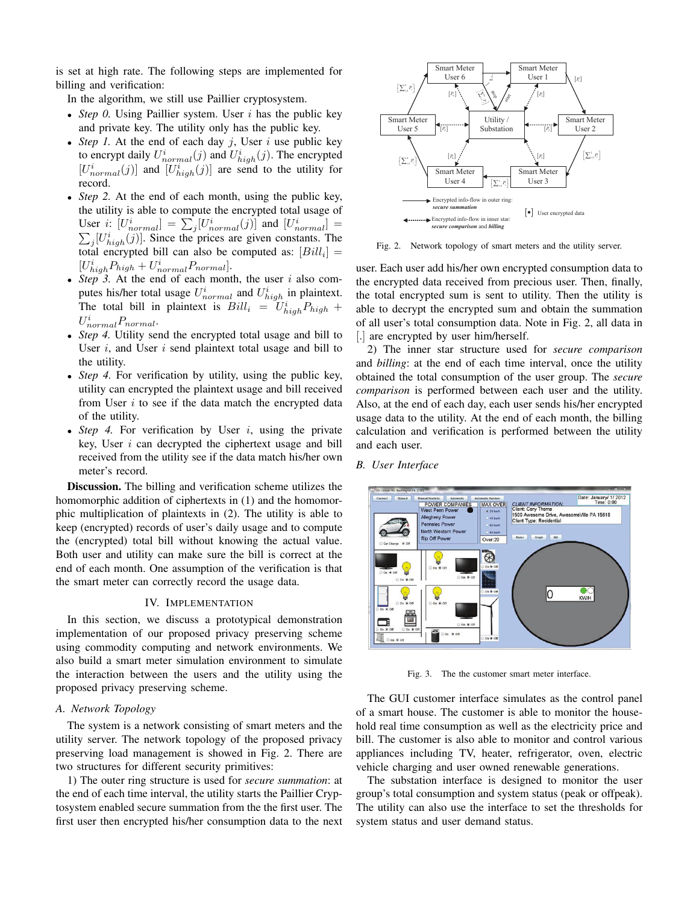is set at high rate. The following steps are implemented for billing and verification:

In the algorithm, we still use Paillier cryptosystem.

- *• Step 0.* Using Paillier system. User *i* has the public key and private key. The utility only has the public key.
- *• Step 1.* At the end of each day *j*, User *i* use public key to encrypt daily  $U^i_{normal}(j)$  and  $U^i_{high}(j)$ . The encrypted  $[U^i_{normal}(j)]$  and  $[U^i_{high}(j)]$  are send to the utility for record.
- *• Step 2.* At the end of each month, using the public key, the utility is able to compute the encrypted total usage of User *i*:  $[U^i_{normal}] = \sum_j [U^i_{normal}(j)]$  and  $[U^i_{normal}] =$  $\sum_{j} [U_{high}^{i}(j)]$ . Since the prices are given constants. The total encrypted bill can also be computed as:  $[Bill_i] =$  $[U_{high}^i P_{high} + U_{normal}^i P_{normal}].$
- *• Step 3.* At the end of each month, the user *i* also computes his/her total usage  $U_{normal}^i$  and  $U_{high}^i$  in plaintext. The total bill in plaintext is  $Bill_i = U_{high}^i P_{high} +$ *U i normalPnormal*.
- *• Step 4.* Utility send the encrypted total usage and bill to User *i*, and User *i* send plaintext total usage and bill to the utility.
- *• Step 4.* For verification by utility, using the public key, utility can encrypted the plaintext usage and bill received from User *i* to see if the data match the encrypted data of the utility.
- *• Step 4.* For verification by User *i*, using the private key, User *i* can decrypted the ciphertext usage and bill received from the utility see if the data match his/her own meter's record.

Discussion. The billing and verification scheme utilizes the homomorphic addition of ciphertexts in (1) and the homomorphic multiplication of plaintexts in (2). The utility is able to keep (encrypted) records of user's daily usage and to compute the (encrypted) total bill without knowing the actual value. Both user and utility can make sure the bill is correct at the end of each month. One assumption of the verification is that the smart meter can correctly record the usage data.

## IV. IMPLEMENTATION

In this section, we discuss a prototypical demonstration implementation of our proposed privacy preserving scheme using commodity computing and network environments. We also build a smart meter simulation environment to simulate the interaction between the users and the utility using the proposed privacy preserving scheme.

# *A. Network Topology*

The system is a network consisting of smart meters and the utility server. The network topology of the proposed privacy preserving load management is showed in Fig. 2. There are two structures for different security primitives:

1) The outer ring structure is used for *secure summation*: at the end of each time interval, the utility starts the Paillier Cryptosystem enabled secure summation from the the first user. The first user then encrypted his/her consumption data to the next



Fig. 2. Network topology of smart meters and the utility server.

user. Each user add his/her own encrypted consumption data to the encrypted data received from precious user. Then, finally, the total encrypted sum is sent to utility. Then the utility is able to decrypt the encrypted sum and obtain the summation of all user's total consumption data. Note in Fig. 2, all data in [*.*] are encrypted by user him/herself.

2) The inner star structure used for *secure comparison* and *billing*: at the end of each time interval, once the utility obtained the total consumption of the user group. The *secure comparison* is performed between each user and the utility. Also, at the end of each day, each user sends his/her encrypted usage data to the utility. At the end of each month, the billing calculation and verification is performed between the utility and each user.

#### *B. User Interface*



Fig. 3. The the customer smart meter interface.

The GUI customer interface simulates as the control panel of a smart house. The customer is able to monitor the household real time consumption as well as the electricity price and bill. The customer is also able to monitor and control various appliances including TV, heater, refrigerator, oven, electric vehicle charging and user owned renewable generations.

The substation interface is designed to monitor the user group's total consumption and system status (peak or offpeak). The utility can also use the interface to set the thresholds for system status and user demand status.